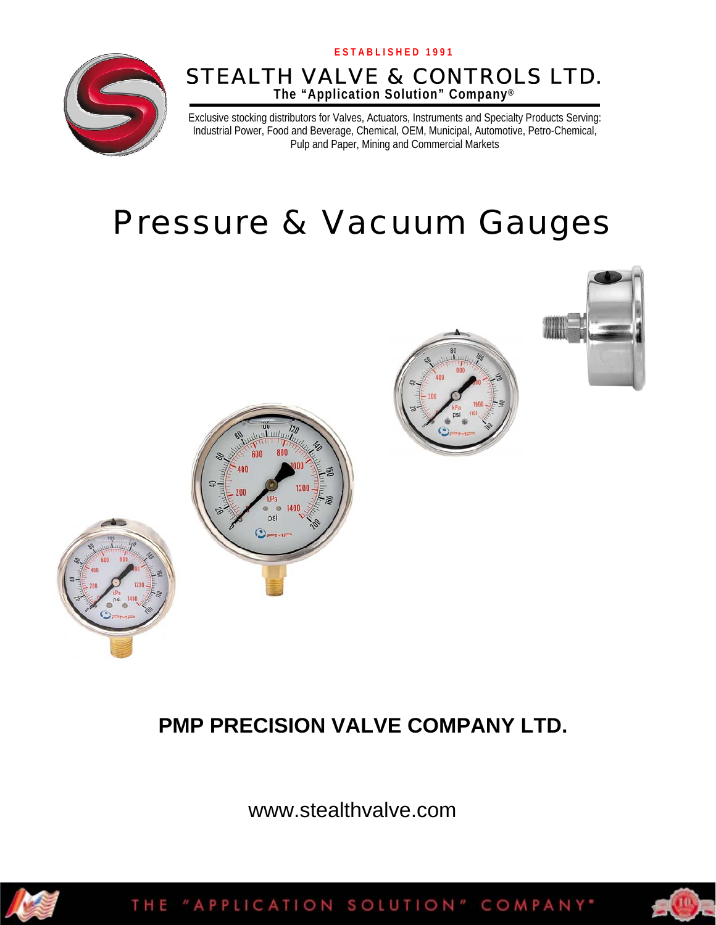

### **The "Application Solution" Company®** STEALTH VALVE & CONTROLS LTD.

Exclusive stocking distributors for Valves, Actuators, Instruments and Specialty Products Serving: Industrial Power, Food and Beverage, Chemical, OEM, Municipal, Automotive, Petro-Chemical, Pulp and Paper, Mining and Commercial Markets

# Pressure & Vacuum Gauges



## **PMP PRECISION VALVE COMPANY LTD.**

www.stealthvalve.com



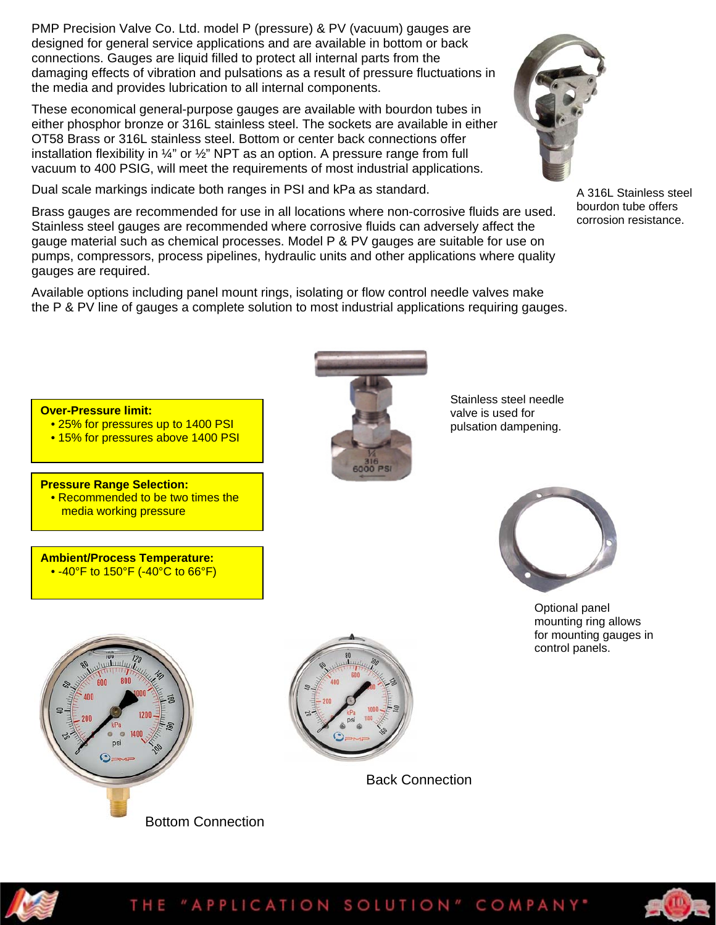PMP Precision Valve Co. Ltd. model P (pressure) & PV (vacuum) gauges are designed for general service applications and are available in bottom or back connections. Gauges are liquid filled to protect all internal parts from the damaging effects of vibration and pulsations as a result of pressure fluctuations in the media and provides lubrication to all internal components.

These economical general-purpose gauges are available with bourdon tubes in either phosphor bronze or 316L stainless steel. The sockets are available in either OT58 Brass or 316L stainless steel. Bottom or center back connections offer installation flexibility in ¼" or ½" NPT as an option. A pressure range from full vacuum to 400 PSIG, will meet the requirements of most industrial applications.

Dual scale markings indicate both ranges in PSI and kPa as standard.

Brass gauges are recommended for use in all locations where non-corrosive fluids are used. Stainless steel gauges are recommended where corrosive fluids can adversely affect the gauge material such as chemical processes. Model P & PV gauges are suitable for use on pumps, compressors, process pipelines, hydraulic units and other applications where quality gauges are required.

Available options including panel mount rings, isolating or flow control needle valves make the P & PV line of gauges a complete solution to most industrial applications requiring gauges.

**Over-Pressure limit:** 

- 25% for pressures up to 1400 PSI
- 15% for pressures above 1400 PSI

#### **Pressure Range Selection:**

• Recommended to be two times the media working pressure

**Ambient/Process Temperature:**  • -40°F to 150°F (-40°C to 66°F)



Stainless steel needle valve is used for pulsation dampening.

> Optional panel mounting ring allows for mounting gauges in

control panels.







bourdon tube offers corrosion resistance.



### THE "APPLICATION SOLUTION" COMPANY"





Bottom Connection

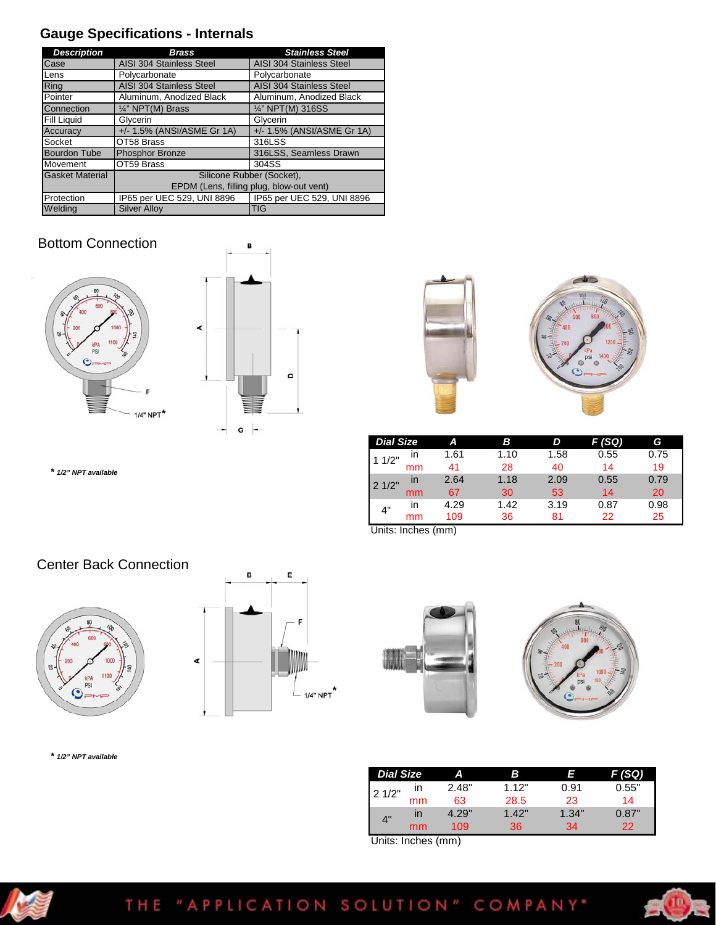### **Gauge Specifications - Internals**

| <b>Description</b>     | Brass                                    | <b>Stainless Steel</b>     |  |  |  |
|------------------------|------------------------------------------|----------------------------|--|--|--|
| Case                   | AISI 304 Stainless Steel                 | AISI 304 Stainless Steel   |  |  |  |
| Lens                   | Polycarbonate                            | Polycarbonate              |  |  |  |
| Ring                   | AISI 304 Stainless Steel                 | AISI 304 Stainless Steel   |  |  |  |
| Pointer                | Aluminum, Anodized Black                 | Aluminum, Anodized Black   |  |  |  |
| Connection             | $\frac{1}{4}$ " NPT(M) Brass             | 1/4" NPT(M) 316SS          |  |  |  |
| <b>Fill Liquid</b>     | Glycerin                                 | Glycerin                   |  |  |  |
| Accuracy               | +/- 1.5% (ANSI/ASME Gr 1A)               | +/- 1.5% (ANSI/ASME Gr 1A) |  |  |  |
| Socket                 | OT58 Brass                               | 316LSS                     |  |  |  |
| <b>Bourdon Tube</b>    | <b>Phosphor Bronze</b>                   | 316LSS, Seamless Drawn     |  |  |  |
| Movement               | OT59 Brass                               | 304SS                      |  |  |  |
| <b>Gasket Material</b> |                                          | Silicone Rubber (Socket),  |  |  |  |
|                        | EPDM (Lens, filling plug, blow-out vent) |                            |  |  |  |
| Protection             | IP65 per UEC 529, UNI 8896               | IP65 per UEC 529, UNI 8896 |  |  |  |
| Weldina                | <b>Silver Allov</b>                      | TIG                        |  |  |  |

#### Bottom Connection







| <b>Dial Size</b> |              | А    | R    | D    | (SQ)<br>F | G    |
|------------------|--------------|------|------|------|-----------|------|
| 11/2"            | ın           | 1.61 | 1.10 | 1.58 | 0.55      | 0.75 |
|                  | mm           | 41   | 28   | 40   | 14        | 19   |
| 21/2"            | $\mathsf{I}$ | 2.64 | 1.18 | 2.09 | 0.55      | 0.79 |
|                  | mm           | 67   | 30   | 53   | 14        | 20   |
| 4"               | ın           | 4.29 | 1.42 | 3.19 | 0.87      | 0.98 |
|                  | mm           | 109  | 36   | 81   | 22        | 25   |

Units: Inches (mm)

*\* 1/2" NPT available* 

#### Center Back Connection



*\* 1/2" NPT available* 







| <b>Dial Size</b> |              | ΔI    | B     | F     | F (SQ) |
|------------------|--------------|-------|-------|-------|--------|
| 21/2"            | ın           | 2.48" | 112"  | 0.91  | 0.55"  |
|                  | mm           | 63    | 28.5  | 23    | 14     |
| 4"               | $\mathsf{I}$ | 4.29" | 1.42" | 1.34" | 0.87"  |
|                  | mm           | 109   | 36    | 34    | 22     |

Units: Inches (mm)



### THE "APPLICATION SOLUTION" COMPANY"

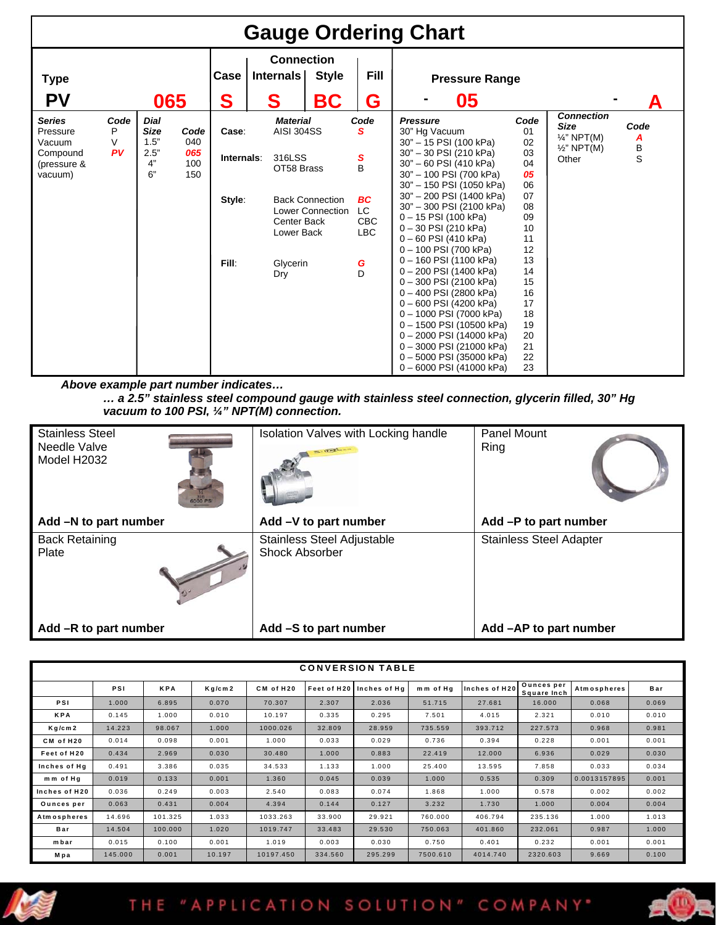| <b>Gauge Ordering Chart</b>                                               |                      |                                                 |                                  |                                        |                                                                                                              |                                                   |                                                                                  |                                                                                                                                                                                                                                                                                                                                                                                                                                                                                                                                                                                                                       |                                                                                                                                                |                                                                                               |                     |
|---------------------------------------------------------------------------|----------------------|-------------------------------------------------|----------------------------------|----------------------------------------|--------------------------------------------------------------------------------------------------------------|---------------------------------------------------|----------------------------------------------------------------------------------|-----------------------------------------------------------------------------------------------------------------------------------------------------------------------------------------------------------------------------------------------------------------------------------------------------------------------------------------------------------------------------------------------------------------------------------------------------------------------------------------------------------------------------------------------------------------------------------------------------------------------|------------------------------------------------------------------------------------------------------------------------------------------------|-----------------------------------------------------------------------------------------------|---------------------|
| <b>Type</b>                                                               |                      |                                                 |                                  | Case                                   | <b>Connection</b><br>Internals                                                                               | <b>Style</b>                                      | <b>Fill</b>                                                                      | <b>Pressure Range</b>                                                                                                                                                                                                                                                                                                                                                                                                                                                                                                                                                                                                 |                                                                                                                                                |                                                                                               |                     |
| <b>PV</b>                                                                 |                      | 065                                             |                                  | S                                      | S                                                                                                            | BC                                                | G                                                                                | 05                                                                                                                                                                                                                                                                                                                                                                                                                                                                                                                                                                                                                    |                                                                                                                                                |                                                                                               |                     |
| <b>Series</b><br>Pressure<br>Vacuum<br>Compound<br>(pressure &<br>vacuum) | Code<br>P<br>V<br>PV | Dial<br><b>Size</b><br>1.5"<br>2.5"<br>4"<br>6" | Code<br>040<br>065<br>100<br>150 | Case:<br>Internals:<br>Style:<br>Fill: | <b>Material</b><br><b>AISI 304SS</b><br>316LSS<br>OT58 Brass<br>Center Back<br>Lower Back<br>Glycerin<br>Dry | <b>Back Connection</b><br><b>Lower Connection</b> | Code<br>s<br>s<br><sub>B</sub><br><b>BC</b><br>LC<br>CBC<br><b>LBC</b><br>G<br>D | <b>Pressure</b><br>30" Hg Vacuum<br>30" - 15 PSI (100 kPa)<br>30" - 30 PSI (210 kPa)<br>30" - 60 PSI (410 kPa)<br>30" - 100 PSI (700 kPa)<br>30" - 150 PSI (1050 kPa)<br>30" - 200 PSI (1400 kPa)<br>30" - 300 PSI (2100 kPa)<br>$0 - 15$ PSI (100 kPa)<br>0-30 PSI (210 kPa)<br>$0 - 60$ PSI (410 kPa)<br>0-100 PSI (700 kPa)<br>0 - 160 PSI (1100 kPa)<br>0-200 PSI (1400 kPa)<br>0-300 PSI (2100 kPa)<br>0-400 PSI (2800 kPa)<br>0-600 PSI (4200 kPa)<br>0 - 1000 PSI (7000 kPa)<br>0-1500 PSI (10500 kPa)<br>0-2000 PSI (14000 kPa)<br>0-3000 PSI (21000 kPa)<br>0-5000 PSI (35000 kPa)<br>0-6000 PSI (41000 kPa) | Code<br>01<br>02<br>03<br>04<br>05<br>06<br>07<br>08<br>09<br>10<br>11<br>12<br>13<br>14<br>15<br>16<br>17<br>18<br>19<br>20<br>21<br>22<br>23 | <b>Connection</b><br><b>Size</b><br>$\frac{1}{4}$ " NPT(M)<br>$\frac{1}{2}$ " NPT(M)<br>Other | Code<br>A<br>B<br>S |

*Above example part number indicates…* 

*… a 2.5" stainless steel compound gauge with stainless steel connection, glycerin filled, 30" Hg vacuum to 100 PSI, ¼" NPT(M) connection.*

| <b>Stainless Steel</b><br>Needle Valve<br>Model H2032<br>6000 PSI- | Isolation Valves with Locking handle<br>$(1, 1)$ $(1, 1)$ | Panel Mount<br>Ring            |
|--------------------------------------------------------------------|-----------------------------------------------------------|--------------------------------|
| Add -N to part number                                              | Add -V to part number                                     | Add -P to part number          |
| <b>Back Retaining</b><br>Plate                                     | Stainless Steel Adjustable<br><b>Shock Absorber</b>       | <b>Stainless Steel Adapter</b> |
| Add -R to part number                                              | Add -S to part number                                     | Add -AP to part number         |

| <b>CONVERSION TABLE</b> |         |            |                    |           |             |              |          |               |                           |                    |       |
|-------------------------|---------|------------|--------------------|-----------|-------------|--------------|----------|---------------|---------------------------|--------------------|-------|
|                         |         |            |                    |           |             |              |          |               |                           |                    |       |
|                         | PSI     | <b>KPA</b> | Kg/cm <sub>2</sub> | CM of H20 | Feet of H20 | Inches of Ha | mm of Ha | Inches of H20 | Ounces per<br>Square Inch | <b>Atmospheres</b> | Bar   |
| PSI                     | 1.000   | 6.895      | 0.070              | 70.307    | 2.307       | 2.036        | 51.715   | 27.681        | 16,000                    | 0.068              | 0.069 |
| <b>KPA</b>              | 0.145   | 1.000      | 0.010              | 10.197    | 0.335       | 0.295        | 7.501    | 4.015         | 2.321                     | 0.010              | 0.010 |
| Kg/cm2                  | 14.223  | 98.067     | 1.000              | 1000.026  | 32.809      | 28.959       | 735.559  | 393.712       | 227.573                   | 0.968              | 0.981 |
| CM of H20               | 0.014   | 0.098      | 0.001              | 1.000     | 0.033       | 0.029        | 0.736    | 0.394         | 0.228                     | 0.001              | 0.001 |
| Feet of H20             | 0.434   | 2.969      | 0.030              | 30.480    | 1.000       | 0.883        | 22.419   | 12.000        | 6.936                     | 0.029              | 0.030 |
| Inches of Hg            | 0.491   | 3.386      | 0.035              | 34.533    | 1.133       | 1.000        | 25.400   | 13.595        | 7.858                     | 0.033              | 0.034 |
| mm of Hg                | 0.019   | 0.133      | 0.001              | 1.360     | 0.045       | 0.039        | 1.000    | 0.535         | 0.309                     | 0.0013157895       | 0.001 |
| Inches of H20           | 0.036   | 0.249      | 0.003              | 2.540     | 0.083       | 0.074        | 1.868    | 1.000         | 0.578                     | 0.002              | 0.002 |
| Ounces per              | 0.063   | 0.431      | 0.004              | 4.394     | 0.144       | 0.127        | 3.232    | 1.730         | 1.000                     | 0.004              | 0.004 |
| <b>Atmospheres</b>      | 14.696  | 101.325    | 1.033              | 1033.263  | 33.900      | 29.921       | 760.000  | 406.794       | 235.136                   | 1.000              | 1.013 |
| Bar                     | 14.504  | 100,000    | 1.020              | 1019.747  | 33.483      | 29.530       | 750.063  | 401.860       | 232.061                   | 0.987              | 1.000 |
| mbar                    | 0.015   | 0.100      | 0.001              | 1.019     | 0.003       | 0.030        | 0.750    | 0.401         | 0.232                     | 0.001              | 0.001 |
| Mpa                     | 145,000 | 0.001      | 10.197             | 10197.450 | 334.560     | 295.299      | 7500.610 | 4014.740      | 2320.603                  | 9.669              | 0.100 |